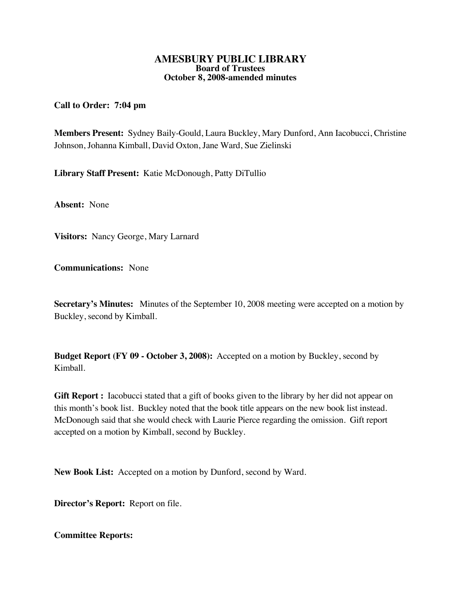### **AMESBURY PUBLIC LIBRARY Board of Trustees October 8, 2008-amended minutes**

# **Call to Order: 7:04 pm**

**Members Present:** Sydney Baily-Gould, Laura Buckley, Mary Dunford, Ann Iacobucci, Christine Johnson, Johanna Kimball, David Oxton, Jane Ward, Sue Zielinski

**Library Staff Present:** Katie McDonough, Patty DiTullio

**Absent:** None

**Visitors:** Nancy George, Mary Larnard

**Communications:** None

**Secretary's Minutes:** Minutes of the September 10, 2008 meeting were accepted on a motion by Buckley, second by Kimball.

**Budget Report (FY 09 - October 3, 2008):** Accepted on a motion by Buckley, second by Kimball.

**Gift Report :** Iacobucci stated that a gift of books given to the library by her did not appear on this month's book list. Buckley noted that the book title appears on the new book list instead. McDonough said that she would check with Laurie Pierce regarding the omission. Gift report accepted on a motion by Kimball, second by Buckley.

**New Book List:** Accepted on a motion by Dunford, second by Ward.

**Director's Report:** Report on file.

**Committee Reports:**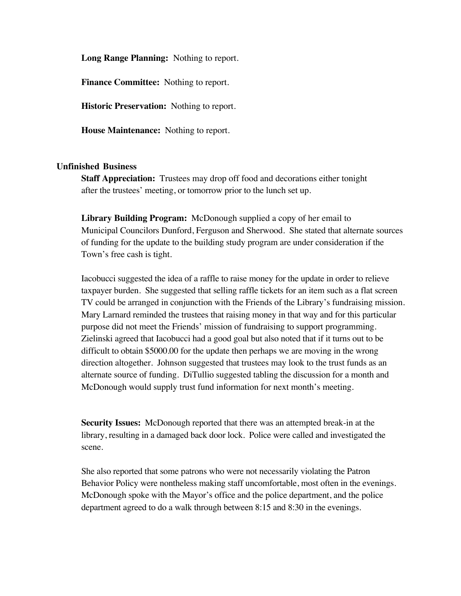**Long Range Planning:** Nothing to report.

**Finance Committee:** Nothing to report.

**Historic Preservation:** Nothing to report.

**House Maintenance:** Nothing to report.

## **Unfinished Business**

**Staff Appreciation:** Trustees may drop off food and decorations either tonight after the trustees' meeting, or tomorrow prior to the lunch set up.

**Library Building Program:** McDonough supplied a copy of her email to Municipal Councilors Dunford, Ferguson and Sherwood. She stated that alternate sources of funding for the update to the building study program are under consideration if the Town's free cash is tight.

Iacobucci suggested the idea of a raffle to raise money for the update in order to relieve taxpayer burden. She suggested that selling raffle tickets for an item such as a flat screen TV could be arranged in conjunction with the Friends of the Library's fundraising mission. Mary Larnard reminded the trustees that raising money in that way and for this particular purpose did not meet the Friends' mission of fundraising to support programming. Zielinski agreed that Iacobucci had a good goal but also noted that if it turns out to be difficult to obtain \$5000.00 for the update then perhaps we are moving in the wrong direction altogether. Johnson suggested that trustees may look to the trust funds as an alternate source of funding. DiTullio suggested tabling the discussion for a month and McDonough would supply trust fund information for next month's meeting.

**Security Issues:** McDonough reported that there was an attempted break-in at the library, resulting in a damaged back door lock. Police were called and investigated the scene.

She also reported that some patrons who were not necessarily violating the Patron Behavior Policy were nontheless making staff uncomfortable, most often in the evenings. McDonough spoke with the Mayor's office and the police department, and the police department agreed to do a walk through between 8:15 and 8:30 in the evenings.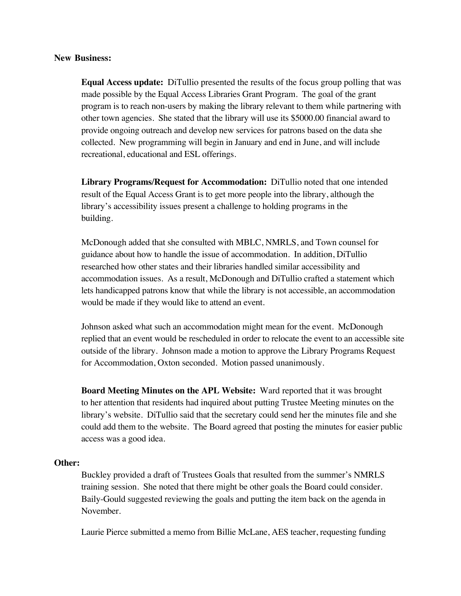### **New Business:**

**Equal Access update:** DiTullio presented the results of the focus group polling that was made possible by the Equal Access Libraries Grant Program. The goal of the grant program is to reach non-users by making the library relevant to them while partnering with other town agencies. She stated that the library will use its \$5000.00 financial award to provide ongoing outreach and develop new services for patrons based on the data she collected. New programming will begin in January and end in June, and will include recreational, educational and ESL offerings.

**Library Programs/Request for Accommodation:** DiTullio noted that one intended result of the Equal Access Grant is to get more people into the library, although the library's accessibility issues present a challenge to holding programs in the building.

McDonough added that she consulted with MBLC, NMRLS, and Town counsel for guidance about how to handle the issue of accommodation. In addition, DiTullio researched how other states and their libraries handled similar accessibility and accommodation issues. As a result, McDonough and DiTullio crafted a statement which lets handicapped patrons know that while the library is not accessible, an accommodation would be made if they would like to attend an event.

Johnson asked what such an accommodation might mean for the event. McDonough replied that an event would be rescheduled in order to relocate the event to an accessible site outside of the library. Johnson made a motion to approve the Library Programs Request for Accommodation, Oxton seconded. Motion passed unanimously.

**Board Meeting Minutes on the APL Website:** Ward reported that it was brought to her attention that residents had inquired about putting Trustee Meeting minutes on the library's website. DiTullio said that the secretary could send her the minutes file and she could add them to the website. The Board agreed that posting the minutes for easier public access was a good idea.

### **Other:**

Buckley provided a draft of Trustees Goals that resulted from the summer's NMRLS training session. She noted that there might be other goals the Board could consider. Baily-Gould suggested reviewing the goals and putting the item back on the agenda in November.

Laurie Pierce submitted a memo from Billie McLane, AES teacher, requesting funding